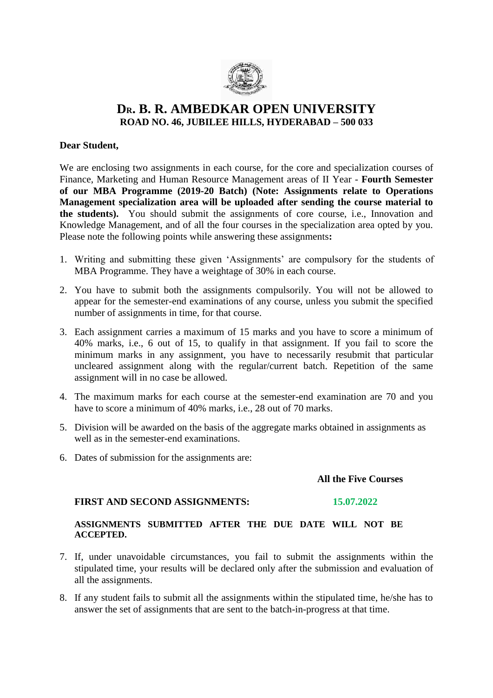

# **DR. B. R. AMBEDKAR OPEN UNIVERSITY ROAD NO. 46, JUBILEE HILLS, HYDERABAD ± 500 033**

## **Dear Student,**

We are enclosing two assignments in each course, for the core and specialization courses of Finance, Marketing and Human Resource Management areas of II Year - **Fourth Semester of our MBA Programme (2019-20 Batch) (Note: Assignments relate to Operations Management specialization area will be uploaded after sending the course material to the students).** You should submit the assignments of core course, i.e., Innovation and Knowledge Management, and of all the four courses in the specialization area opted by you. Please note the following points while answering these assignments**:**

- 1. Writing and submitting these given 'Assignments' are compulsory for the students of MBA Programme. They have a weightage of 30% in each course.
- 2. You have to submit both the assignments compulsorily. You will not be allowed to appear for the semester-end examinations of any course, unless you submit the specified number of assignments in time, for that course.
- 3. Each assignment carries a maximum of 15 marks and you have to score a minimum of 40% marks, i.e., 6 out of 15, to qualify in that assignment. If you fail to score the minimum marks in any assignment, you have to necessarily resubmit that particular uncleared assignment along with the regular/current batch. Repetition of the same assignment will in no case be allowed.
- 4. The maximum marks for each course at the semester-end examination are 70 and you have to score a minimum of 40% marks, i.e., 28 out of 70 marks.
- 5. Division will be awarded on the basis of the aggregate marks obtained in assignments as well as in the semester-end examinations.
- 6. Dates of submission for the assignments are:

## **All the Five Courses**

# **FIRST AND SECOND ASSIGNMENTS: 15.07.2022**

#### **ASSIGNMENTS SUBMITTED AFTER THE DUE DATE WILL NOT BE ACCEPTED.**

- 7. If, under unavoidable circumstances, you fail to submit the assignments within the stipulated time, your results will be declared only after the submission and evaluation of all the assignments.
- 8. If any student fails to submit all the assignments within the stipulated time, he/she has to answer the set of assignments that are sent to the batch-in-progress at that time.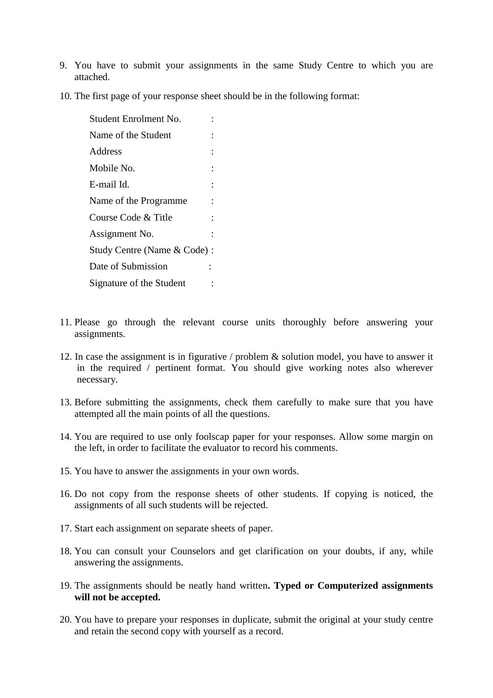- 9. You have to submit your assignments in the same Study Centre to which you are attached.
- 10. The first page of your response sheet should be in the following format:

| Student Enrolment No.        |                      |
|------------------------------|----------------------|
| Name of the Student          |                      |
| Address                      |                      |
| Mobile No.                   |                      |
| E-mail Id.                   |                      |
| Name of the Programme        | $\ddot{\phantom{a}}$ |
| Course Code & Title          |                      |
| Assignment No.               |                      |
| Study Centre (Name & Code) : |                      |
| Date of Submission           |                      |
| Signature of the Student     |                      |

- 11. Please go through the relevant course units thoroughly before answering your assignments.
- 12. In case the assignment is in figurative / problem & solution model, you have to answer it in the required / pertinent format. You should give working notes also wherever necessary.
- 13. Before submitting the assignments, check them carefully to make sure that you have attempted all the main points of all the questions.
- 14. You are required to use only foolscap paper for your responses. Allow some margin on the left, in order to facilitate the evaluator to record his comments.
- 15. You have to answer the assignments in your own words.
- 16. Do not copy from the response sheets of other students. If copying is noticed, the assignments of all such students will be rejected.
- 17. Start each assignment on separate sheets of paper.
- 18. You can consult your Counselors and get clarification on your doubts, if any, while answering the assignments.
- 19. The assignments should be neatly hand written**. Typed or Computerized assignments will not be accepted.**
- 20. You have to prepare your responses in duplicate, submit the original at your study centre and retain the second copy with yourself as a record.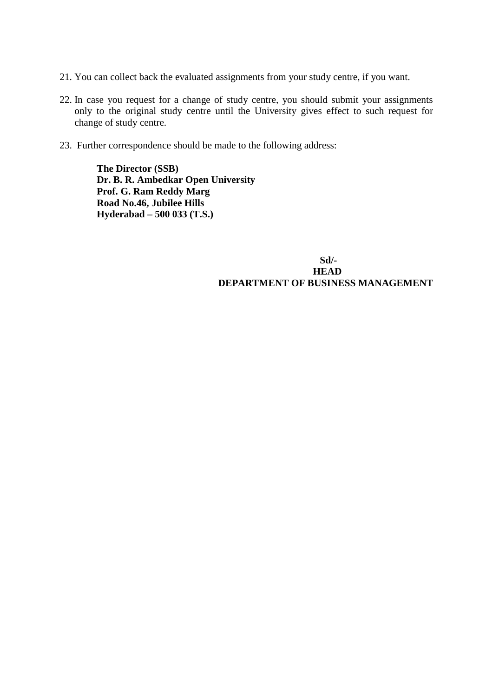- 21. You can collect back the evaluated assignments from your study centre, if you want.
- 22. In case you request for a change of study centre, you should submit your assignments only to the original study centre until the University gives effect to such request for change of study centre.
- 23. Further correspondence should be made to the following address:

**The Director (SSB) Dr. B. R. Ambedkar Open University Prof. G. Ram Reddy Marg Road No.46, Jubilee Hills Hyderabad ± 500 033 (T.S.)**

> **Sd/- HEAD DEPARTMENT OF BUSINESS MANAGEMENT**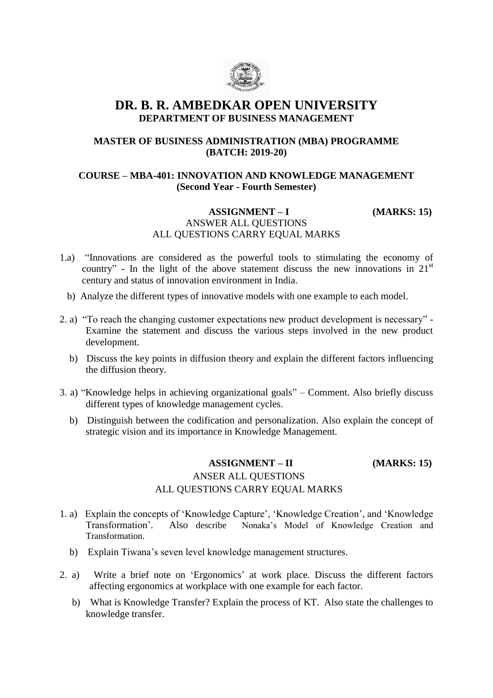

# **MASTER OF BUSINESS ADMINISTRATION (MBA) PROGRAMME (BATCH: 2019-20)**

# **COURSE ± MBA-401: INNOVATION AND KNOWLEDGE MANAGEMENT (Second Year - Fourth Semester)**

# **ASSIGNMENT ± I (MARKS: 15)** ANSWER ALL QUESTIONS ALL QUESTIONS CARRY EQUAL MARKS

- 1.a) "Innovations are considered as the powerful tools to stimulating the economy of country" - In the light of the above statement discuss the new innovations in  $21<sup>st</sup>$ century and status of innovation environment in India.
	- b) Analyze the different types of innovative models with one example to each model.
- 2. a) "To reach the changing customer expectations new product development is necessary" -Examine the statement and discuss the various steps involved in the new product development.
	- b) Discuss the key points in diffusion theory and explain the different factors influencing the diffusion theory.
- 3. a) "Knowledge helps in achieving organizational goals" Comment. Also briefly discuss different types of knowledge management cycles.
	- b) Distinguish between the codification and personalization. Also explain the concept of strategic vision and its importance in Knowledge Management.

# **ASSIGNMENT – II** (MARKS: 15) ANSER ALL QUESTIONS ALL QUESTIONS CARRY EQUAL MARKS

1. a) Explain the concepts of 'Knowledge Capture', 'Knowledge Creation', and 'Knowledge Transformation'. Also describe Nonaka's Model of Knowledge Creation and Transformation.

- b) Explain Tiwana's seven level knowledge management structures.
- 2. a) Write a brief note on 'Ergonomics' at work place. Discuss the different factors affecting ergonomics at workplace with one example for each factor.
	- b) What is Knowledge Transfer? Explain the process of KT. Also state the challenges to knowledge transfer.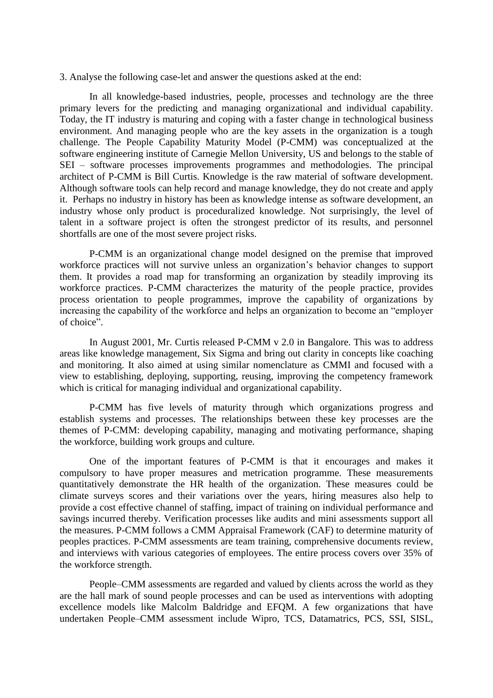3. Analyse the following case-let and answer the questions asked at the end:

In all knowledge-based industries, people, processes and technology are the three primary levers for the predicting and managing organizational and individual capability. Today, the IT industry is maturing and coping with a faster change in technological business environment. And managing people who are the key assets in the organization is a tough challenge. The People Capability Maturity Model (P-CMM) was conceptualized at the software engineering institute of Carnegie Mellon University, US and belongs to the stable of SEI – software processes improvements programmes and methodologies. The principal architect of P-CMM is Bill Curtis. Knowledge is the raw material of software development. Although software tools can help record and manage knowledge, they do not create and apply it. Perhaps no industry in history has been as knowledge intense as software development, an industry whose only product is proceduralized knowledge. Not surprisingly, the level of talent in a software project is often the strongest predictor of its results, and personnel shortfalls are one of the most severe project risks.

P-CMM is an organizational change model designed on the premise that improved workforce practices will not survive unless an organization's behavior changes to support them. It provides a road map for transforming an organization by steadily improving its workforce practices. P-CMM characterizes the maturity of the people practice, provides process orientation to people programmes, improve the capability of organizations by increasing the capability of the workforce and helps an organization to become an "employer" of choice".

In August 2001, Mr. Curtis released P-CMM v 2.0 in Bangalore. This was to address areas like knowledge management, Six Sigma and bring out clarity in concepts like coaching and monitoring. It also aimed at using similar nomenclature as CMMI and focused with a view to establishing, deploying, supporting, reusing, improving the competency framework which is critical for managing individual and organizational capability.

P-CMM has five levels of maturity through which organizations progress and establish systems and processes. The relationships between these key processes are the themes of P-CMM: developing capability, managing and motivating performance, shaping the workforce, building work groups and culture.

One of the important features of P-CMM is that it encourages and makes it compulsory to have proper measures and metrication programme. These measurements quantitatively demonstrate the HR health of the organization. These measures could be climate surveys scores and their variations over the years, hiring measures also help to provide a cost effective channel of staffing, impact of training on individual performance and savings incurred thereby. Verification processes like audits and mini assessments support all the measures. P-CMM follows a CMM Appraisal Framework (CAF) to determine maturity of peoples practices. P-CMM assessments are team training, comprehensive documents review, and interviews with various categories of employees. The entire process covers over 35% of the workforce strength.

People–CMM assessments are regarded and valued by clients across the world as they are the hall mark of sound people processes and can be used as interventions with adopting excellence models like Malcolm Baldridge and EFQM. A few organizations that have undertaken People-CMM assessment include Wipro, TCS, Datamatrics, PCS, SSI, SISL,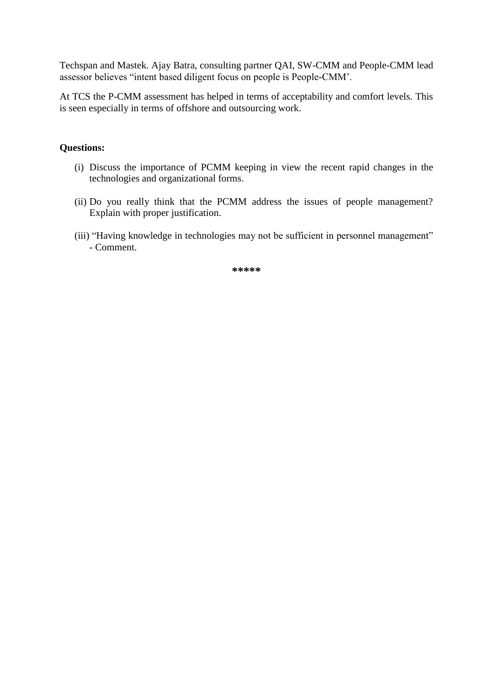Techspan and Mastek. Ajay Batra, consulting partner QAI, SW-CMM and People-CMM lead assessor believes "intent based diligent focus on people is People-CMM'.

At TCS the P-CMM assessment has helped in terms of acceptability and comfort levels. This is seen especially in terms of offshore and outsourcing work.

## **Questions:**

- (i) Discuss the importance of PCMM keeping in view the recent rapid changes in the technologies and organizational forms.
- (ii) Do you really think that the PCMM address the issues of people management? Explain with proper justification.
- (iii) "Having knowledge in technologies may not be sufficient in personnel management" - Comment.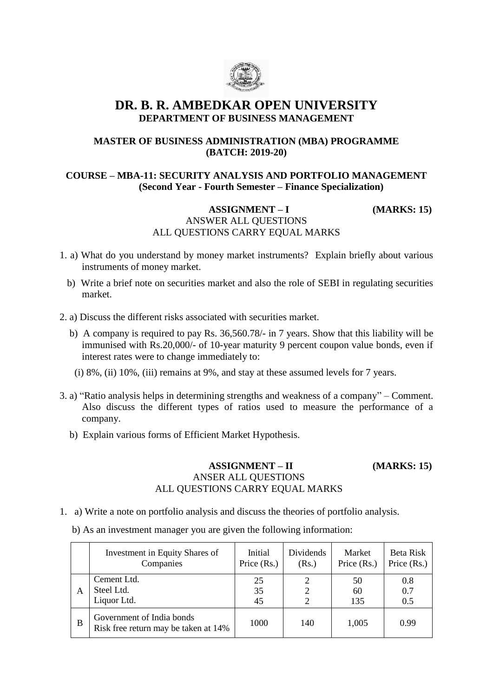

# **MASTER OF BUSINESS ADMINISTRATION (MBA) PROGRAMME (BATCH: 2019-20)**

# **COURSE ± MBA-11: SECURITY ANALYSIS AND PORTFOLIO MANAGEMENT (Second Year - Fourth Semester ± Finance Specialization)**

# **ASSIGNMENT ± I (MARKS: 15)** ANSWER ALL QUESTIONS ALL QUESTIONS CARRY EQUAL MARKS

- 1. a) What do you understand by money market instruments? Explain briefly about various instruments of money market.
	- b) Write a brief note on securities market and also the role of SEBI in regulating securities market.
- 2. a) Discuss the different risks associated with securities market.
	- b) A company is required to pay Rs. 36,560.78/- in 7 years. Show that this liability will be immunised with Rs.20,000/- of 10-year maturity 9 percent coupon value bonds, even if interest rates were to change immediately to:
		- (i) 8%, (ii) 10%, (iii) remains at 9%, and stay at these assumed levels for 7 years.
- 3. a) "Ratio analysis helps in determining strengths and weakness of a company" Comment. Also discuss the different types of ratios used to measure the performance of a company.
	- b) Explain various forms of Efficient Market Hypothesis.

# **ASSIGNMENT – II** (MARKS: 15) ANSER ALL QUESTIONS ALL QUESTIONS CARRY EQUAL MARKS

1. a) Write a note on portfolio analysis and discuss the theories of portfolio analysis.

b) As an investment manager you are given the following information:

|   | Investment in Equity Shares of<br>Companies                       | Initial<br>Price $(Rs.)$ | Dividends<br>(Rs.) | Market<br>Price (Rs.) | <b>Beta Risk</b><br>Price (Rs.) |
|---|-------------------------------------------------------------------|--------------------------|--------------------|-----------------------|---------------------------------|
| A | Cement Ltd.<br>Steel Ltd.<br>Liquor Ltd.                          | 25<br>35<br>45           |                    | 50<br>60<br>135       | 0.8<br>0.7<br>0.5               |
| B | Government of India bonds<br>Risk free return may be taken at 14% | 1000                     | 140                | 1,005                 | 0.99                            |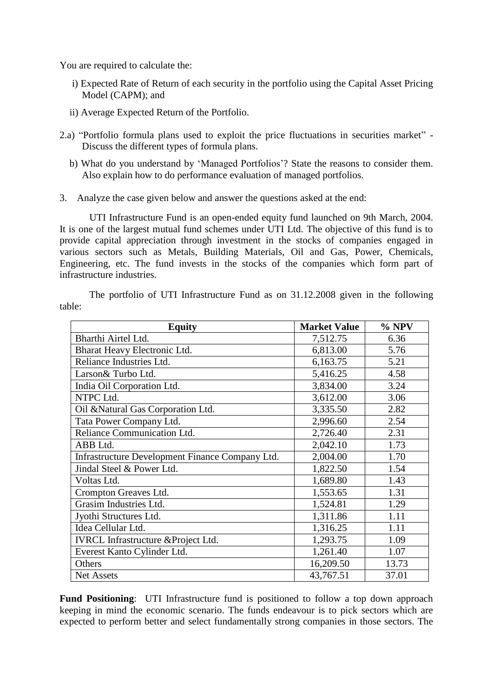You are required to calculate the:

- i) Expected Rate of Return of each security in the portfolio using the Capital Asset Pricing Model (CAPM); and
- ii) Average Expected Return of the Portfolio.
- 2.a) "Portfolio formula plans used to exploit the price fluctuations in securities market" -Discuss the different types of formula plans.
	- b) What do you understand by 'Managed Portfolios'? State the reasons to consider them. Also explain how to do performance evaluation of managed portfolios.
- 3. Analyze the case given below and answer the questions asked at the end:

UTI Infrastructure Fund is an open-ended equity fund launched on 9th March, 2004. It is one of the largest mutual fund schemes under UTI Ltd. The objective of this fund is to provide capital appreciation through investment in the stocks of companies engaged in various sectors such as Metals, Building Materials, Oil and Gas, Power, Chemicals, Engineering, etc. The fund invests in the stocks of the companies which form part of infrastructure industries.

| <b>Equity</b>                                   | <b>Market Value</b> | % NPV |
|-------------------------------------------------|---------------------|-------|
| Bharthi Airtel Ltd.                             | 7,512.75            | 6.36  |
| Bharat Heavy Electronic Ltd.                    | 6,813.00            | 5.76  |
| Reliance Industries Ltd.                        | 6,163.75            | 5.21  |
| Larson& Turbo Ltd.                              | 5,416.25            | 4.58  |
| India Oil Corporation Ltd.                      | 3,834.00            | 3.24  |
| NTPC Ltd.                                       | 3,612.00            | 3.06  |
| Oil & Natural Gas Corporation Ltd.              | 3,335.50            | 2.82  |
| Tata Power Company Ltd.                         | 2,996.60            | 2.54  |
| Reliance Communication Ltd.                     | 2,726.40            | 2.31  |
| ABB Ltd.                                        | 2,042.10            | 1.73  |
| Infrastructure Development Finance Company Ltd. | 2,004.00            | 1.70  |
| Jindal Steel & Power Ltd.                       | 1,822.50            | 1.54  |
| Voltas Ltd.                                     | 1,689.80            | 1.43  |
| Crompton Greaves Ltd.                           | 1,553.65            | 1.31  |
| Grasim Industries Ltd.                          | 1,524.81            | 1.29  |
| Jyothi Structures Ltd.                          | 1,311.86            | 1.11  |
| Idea Cellular Ltd.                              | 1,316.25            | 1.11  |
| <b>IVRCL</b> Infrastructure &Project Ltd.       | 1,293.75            | 1.09  |
| Everest Kanto Cylinder Ltd.                     | 1,261.40            | 1.07  |
| Others                                          | 16,209.50           | 13.73 |
| <b>Net Assets</b>                               | 43,767.51           | 37.01 |

The portfolio of UTI Infrastructure Fund as on 31.12.2008 given in the following table:

**Fund Positioning**: UTI Infrastructure fund is positioned to follow a top down approach keeping in mind the economic scenario. The funds endeavour is to pick sectors which are expected to perform better and select fundamentally strong companies in those sectors. The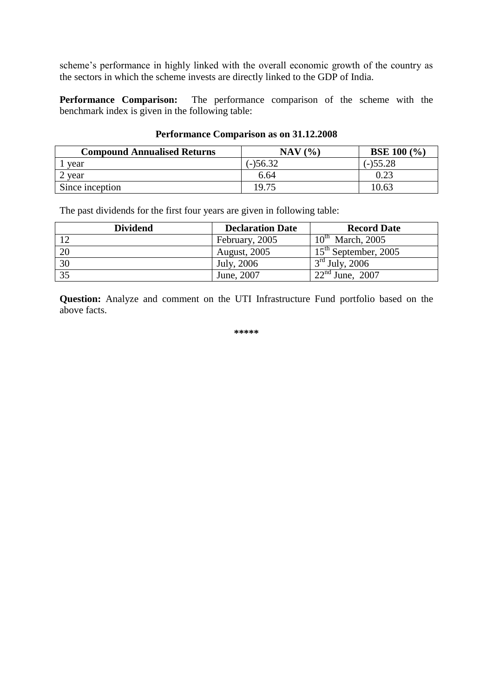scheme's performance in highly linked with the overall economic growth of the country as the sectors in which the scheme invests are directly linked to the GDP of India.

**Performance Comparison:** The performance comparison of the scheme with the benchmark index is given in the following table:

| <b>Compound Annualised Returns</b> | $\overline{\text{NAV}}$ (%) | <b>BSE 100 (%)</b> |
|------------------------------------|-----------------------------|--------------------|
| vear                               | $(-)56.32$                  | $-155.28$          |
| 2 year                             | 6.64                        | $0.23\,$           |
| Since inception                    | 19.75                       | 10.63              |

## **Performance Comparison as on 31.12.2008**

The past dividends for the first four years are given in following table:

| <b>Dividend</b> | <b>Declaration Date</b> | <b>Record Date</b>          |
|-----------------|-------------------------|-----------------------------|
|                 | February, 2005          | $10^{th}$ March, 2005       |
| 20              | <b>August, 2005</b>     | $15th$ September, 2005      |
| 30              | July, 2006              | $3rd$ July, 2006            |
| 35              | June, 2007              | $\sqrt{22^{nd}}$ June, 2007 |

**Question:** Analyze and comment on the UTI Infrastructure Fund portfolio based on the above facts.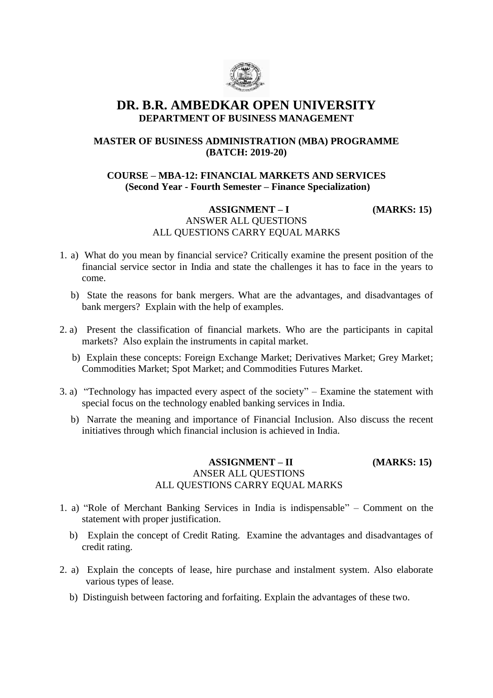

# **MASTER OF BUSINESS ADMINISTRATION (MBA) PROGRAMME (BATCH: 2019-20)**

# **COURSE ± MBA-12: FINANCIAL MARKETS AND SERVICES (Second Year - Fourth Semester ± Finance Specialization)**

# **ASSIGNMENT ± I (MARKS: 15)** ANSWER ALL QUESTIONS ALL QUESTIONS CARRY EQUAL MARKS

- 1. a) What do you mean by financial service? Critically examine the present position of the financial service sector in India and state the challenges it has to face in the years to come.
	- b) State the reasons for bank mergers. What are the advantages, and disadvantages of bank mergers? Explain with the help of examples.
- 2. a) Present the classification of financial markets. Who are the participants in capital markets? Also explain the instruments in capital market.
	- b) Explain these concepts: Foreign Exchange Market; Derivatives Market; Grey Market; Commodities Market; Spot Market; and Commodities Futures Market.
- 3. a) "Technology has impacted every aspect of the society"  $-$  Examine the statement with special focus on the technology enabled banking services in India.
	- b) Narrate the meaning and importance of Financial Inclusion. Also discuss the recent initiatives through which financial inclusion is achieved in India.

- 1. a) "Role of Merchant Banking Services in India is indispensable"  $-$  Comment on the statement with proper justification.
	- b) Explain the concept of Credit Rating. Examine the advantages and disadvantages of credit rating.
- 2. a) Explain the concepts of lease, hire purchase and instalment system. Also elaborate various types of lease.
	- b) Distinguish between factoring and forfaiting. Explain the advantages of these two.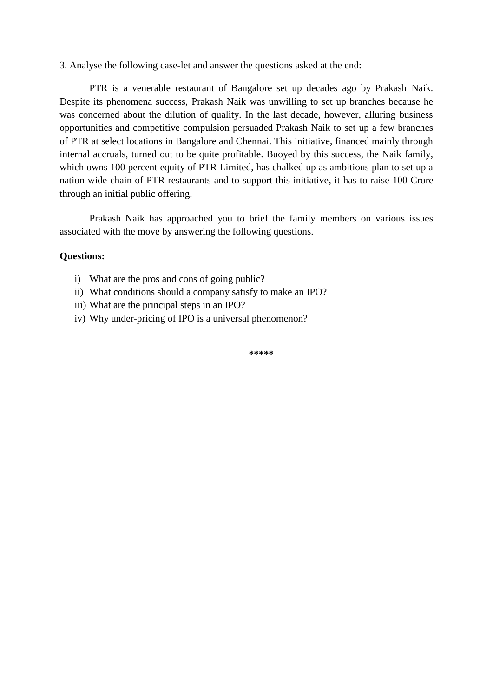3. Analyse the following case-let and answer the questions asked at the end:

PTR is a venerable restaurant of Bangalore set up decades ago by Prakash Naik. Despite its phenomena success, Prakash Naik was unwilling to set up branches because he was concerned about the dilution of quality. In the last decade, however, alluring business opportunities and competitive compulsion persuaded Prakash Naik to set up a few branches of PTR at select locations in Bangalore and Chennai. This initiative, financed mainly through internal accruals, turned out to be quite profitable. Buoyed by this success, the Naik family, which owns 100 percent equity of PTR Limited, has chalked up as ambitious plan to set up a nation-wide chain of PTR restaurants and to support this initiative, it has to raise 100 Crore through an initial public offering.

Prakash Naik has approached you to brief the family members on various issues associated with the move by answering the following questions.

#### **Questions:**

- i) What are the pros and cons of going public?
- ii) What conditions should a company satisfy to make an IPO?
- iii) What are the principal steps in an IPO?
- iv) Why under-pricing of IPO is a universal phenomenon?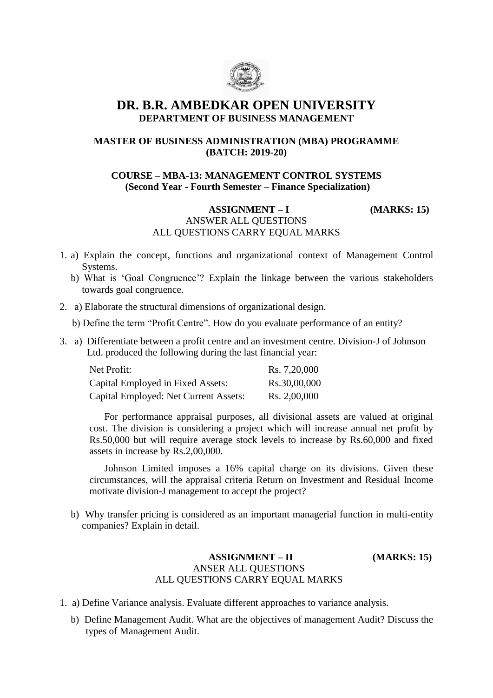

# **MASTER OF BUSINESS ADMINISTRATION (MBA) PROGRAMME (BATCH: 2019-20)**

# **COURSE ± MBA-13: MANAGEMENT CONTROL SYSTEMS (Second Year - Fourth Semester ± Finance Specialization)**

# **ASSIGNMENT ± I (MARKS: 15)** ANSWER ALL QUESTIONS ALL QUESTIONS CARRY EQUAL MARKS

- 1. a) Explain the concept, functions and organizational context of Management Control Systems.
	- b) What is 'Goal Congruence'? Explain the linkage between the various stakeholders towards goal congruence.
- 2. a) Elaborate the structural dimensions of organizational design.
	- b) Define the term "Profit Centre". How do you evaluate performance of an entity?
- 3. a) Differentiate between a profit centre and an investment centre. Division-J of Johnson Ltd. produced the following during the last financial year:

| Net Profit:                           | Rs. 7,20,000 |
|---------------------------------------|--------------|
| Capital Employed in Fixed Assets:     | Rs.30,00,000 |
| Capital Employed: Net Current Assets: | Rs. 2,00,000 |

For performance appraisal purposes, all divisional assets are valued at original cost. The division is considering a project which will increase annual net profit by Rs.50,000 but will require average stock levels to increase by Rs.60,000 and fixed assets in increase by Rs.2,00,000.

Johnson Limited imposes a 16% capital charge on its divisions. Given these circumstances, will the appraisal criteria Return on Investment and Residual Income motivate division-J management to accept the project?

b) Why transfer pricing is considered as an important managerial function in multi-entity companies? Explain in detail.

# **ASSIGNMENT – II** (MARKS: 15) ANSER ALL QUESTIONS ALL QUESTIONS CARRY EQUAL MARKS

1. a) Define Variance analysis. Evaluate different approaches to variance analysis.

b) Define Management Audit. What are the objectives of management Audit? Discuss the types of Management Audit.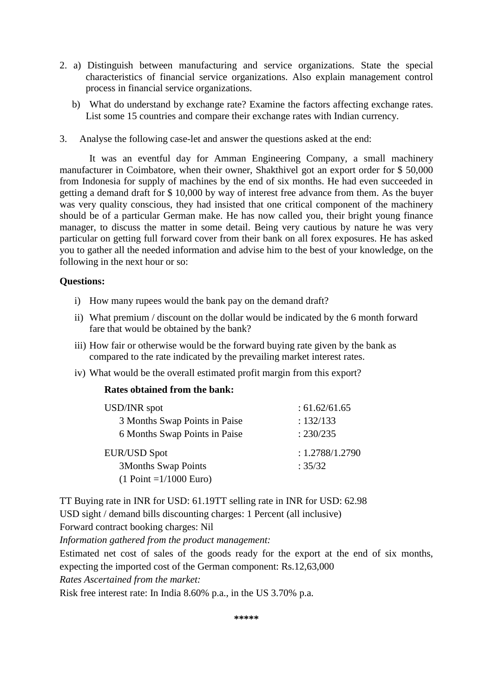- 2. a) Distinguish between manufacturing and service organizations. State the special characteristics of financial service organizations. Also explain management control process in financial service organizations.
	- b) What do understand by exchange rate? Examine the factors affecting exchange rates. List some 15 countries and compare their exchange rates with Indian currency.
- 3. Analyse the following case-let and answer the questions asked at the end:

It was an eventful day for Amman Engineering Company, a small machinery manufacturer in Coimbatore, when their owner, Shakthivel got an export order for \$ 50,000 from Indonesia for supply of machines by the end of six months. He had even succeeded in getting a demand draft for \$ 10,000 by way of interest free advance from them. As the buyer was very quality conscious, they had insisted that one critical component of the machinery should be of a particular German make. He has now called you, their bright young finance manager, to discuss the matter in some detail. Being very cautious by nature he was very particular on getting full forward cover from their bank on all forex exposures. He has asked you to gather all the needed information and advise him to the best of your knowledge, on the following in the next hour or so:

## **Questions:**

- i) How many rupees would the bank pay on the demand draft?
- ii) What premium / discount on the dollar would be indicated by the 6 month forward fare that would be obtained by the bank?
- iii) How fair or otherwise would be the forward buying rate given by the bank as compared to the rate indicated by the prevailing market interest rates.
- iv) What would be the overall estimated profit margin from this export?

## **Rates obtained from the bank:**

| USD/INR spot                  | : 61.62/61.65   |
|-------------------------------|-----------------|
| 3 Months Swap Points in Paise | : 132/133       |
| 6 Months Swap Points in Paise | : 230/235       |
| <b>EUR/USD Spot</b>           | : 1.2788/1.2790 |
| <b>3Months Swap Points</b>    | :35/32          |
| $(1 Point = 1/1000 Euro)$     |                 |

TT Buying rate in INR for USD: 61.19TT selling rate in INR for USD: 62.98 USD sight / demand bills discounting charges: 1 Percent (all inclusive)

Forward contract booking charges: Nil

*Information gathered from the product management:*

Estimated net cost of sales of the goods ready for the export at the end of six months, expecting the imported cost of the German component: Rs.12,63,000

*Rates Ascertained from the market:*

Risk free interest rate: In India 8.60% p.a., in the US 3.70% p.a.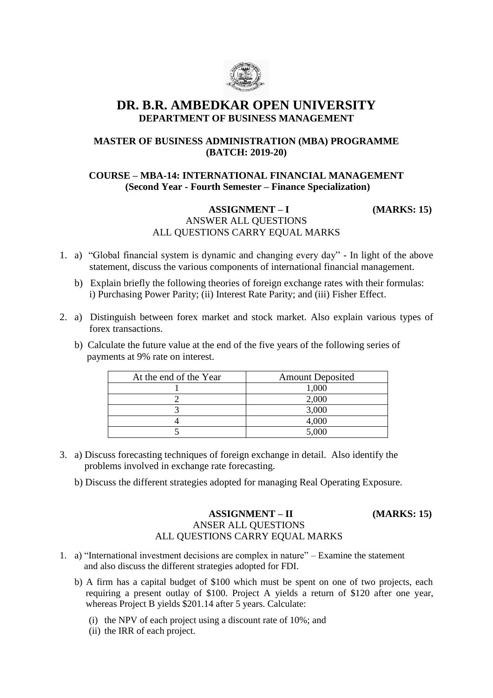

# **MASTER OF BUSINESS ADMINISTRATION (MBA) PROGRAMME (BATCH: 2019-20)**

# **COURSE ± MBA-14: INTERNATIONAL FINANCIAL MANAGEMENT (Second Year - Fourth Semester ± Finance Specialization)**

# **ASSIGNMENT ± I (MARKS: 15)** ANSWER ALL QUESTIONS ALL QUESTIONS CARRY EQUAL MARKS

- 1. a) "Global financial system is dynamic and changing every day" In light of the above statement, discuss the various components of international financial management.
	- b) Explain briefly the following theories of foreign exchange rates with their formulas: i) Purchasing Power Parity; (ii) Interest Rate Parity; and (iii) Fisher Effect.
- 2. a) Distinguish between forex market and stock market. Also explain various types of forex transactions.
	- b) Calculate the future value at the end of the five years of the following series of payments at 9% rate on interest.

| At the end of the Year | <b>Amount Deposited</b> |
|------------------------|-------------------------|
|                        | 1,000                   |
|                        | 2,000                   |
|                        | 3,000                   |
|                        | 4,000                   |
|                        | 5,000                   |

- 3. a) Discuss forecasting techniques of foreign exchange in detail. Also identify the problems involved in exchange rate forecasting.
	- b) Discuss the different strategies adopted for managing Real Operating Exposure.

- 1. a) "International investment decisions are complex in nature"  $-$  Examine the statement and also discuss the different strategies adopted for FDI.
	- b) A firm has a capital budget of \$100 which must be spent on one of two projects, each requiring a present outlay of \$100. Project A yields a return of \$120 after one year, whereas Project B yields \$201.14 after 5 years. Calculate:
		- (i) the NPV of each project using a discount rate of 10%; and
		- (ii) the IRR of each project.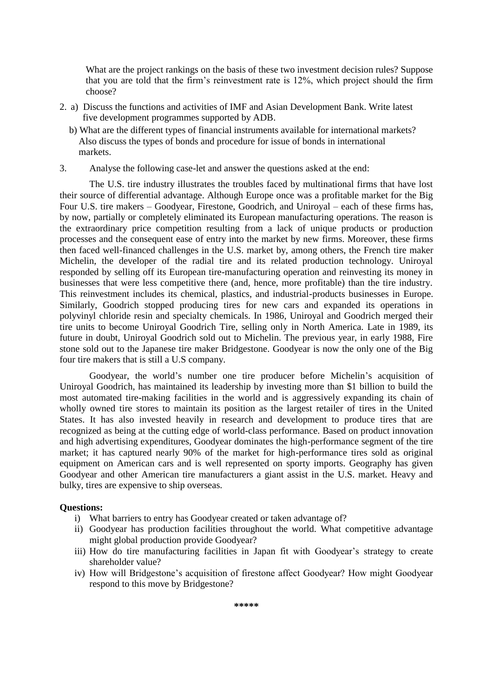What are the project rankings on the basis of these two investment decision rules? Suppose that you are told that the firm's reinvestment rate is  $12\%$ , which project should the firm choose?

- 2. a) Discuss the functions and activities of IMF and Asian Development Bank. Write latest five development programmes supported by ADB.
	- b) What are the different types of financial instruments available for international markets? Also discuss the types of bonds and procedure for issue of bonds in international markets.
- 3. Analyse the following case-let and answer the questions asked at the end:

The U.S. tire industry illustrates the troubles faced by multinational firms that have lost their source of differential advantage. Although Europe once was a profitable market for the Big Four U.S. tire makers  $-$  Goodyear, Firestone, Goodrich, and Uniroyal  $-$  each of these firms has, by now, partially or completely eliminated its European manufacturing operations. The reason is the extraordinary price competition resulting from a lack of unique products or production processes and the consequent ease of entry into the market by new firms. Moreover, these firms then faced well-financed challenges in the U.S. market by, among others, the French tire maker Michelin, the developer of the radial tire and its related production technology. Uniroyal responded by selling off its European tire-manufacturing operation and reinvesting its money in businesses that were less competitive there (and, hence, more profitable) than the tire industry. This reinvestment includes its chemical, plastics, and industrial-products businesses in Europe. Similarly, Goodrich stopped producing tires for new cars and expanded its operations in polyvinyl chloride resin and specialty chemicals. In 1986, Uniroyal and Goodrich merged their tire units to become Uniroyal Goodrich Tire, selling only in North America. Late in 1989, its future in doubt, Uniroyal Goodrich sold out to Michelin. The previous year, in early 1988, Fire stone sold out to the Japanese tire maker Bridgestone. Goodyear is now the only one of the Big four tire makers that is still a U.S company.

Goodyear, the world's number one tire producer before Michelin's acquisition of Uniroyal Goodrich, has maintained its leadership by investing more than \$1 billion to build the most automated tire-making facilities in the world and is aggressively expanding its chain of wholly owned tire stores to maintain its position as the largest retailer of tires in the United States. It has also invested heavily in research and development to produce tires that are recognized as being at the cutting edge of world-class performance. Based on product innovation and high advertising expenditures, Goodyear dominates the high-performance segment of the tire market; it has captured nearly 90% of the market for high-performance tires sold as original equipment on American cars and is well represented on sporty imports. Geography has given Goodyear and other American tire manufacturers a giant assist in the U.S. market. Heavy and bulky, tires are expensive to ship overseas.

#### **Questions:**

- i) What barriers to entry has Goodyear created or taken advantage of?
- ii) Goodyear has production facilities throughout the world. What competitive advantage might global production provide Goodyear?
- iii) How do tire manufacturing facilities in Japan fit with Goodyear's strategy to create shareholder value?
- iv) How will Bridgestone's acquisition of firestone affect Goodyear? How might Goodyear respond to this move by Bridgestone?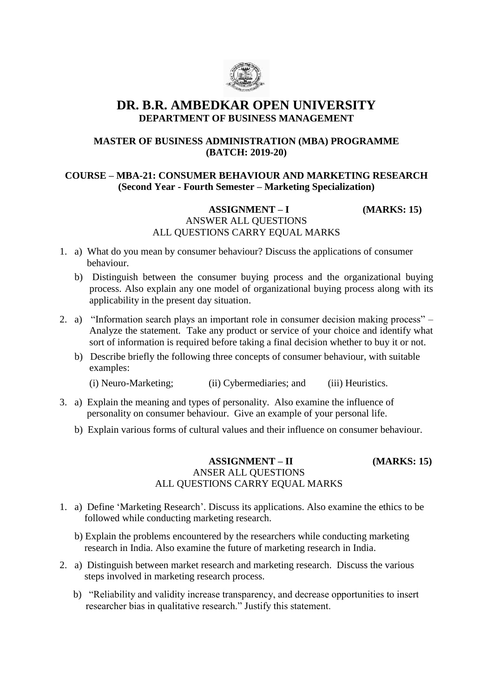

# **MASTER OF BUSINESS ADMINISTRATION (MBA) PROGRAMME (BATCH: 2019-20)**

# **COURSE ± MBA-21: CONSUMER BEHAVIOUR AND MARKETING RESEARCH (Second Year - Fourth Semester ± Marketing Specialization)**

# **ASSIGNMENT ± I (MARKS: 15)** ANSWER ALL QUESTIONS ALL QUESTIONS CARRY EQUAL MARKS

- 1. a) What do you mean by consumer behaviour? Discuss the applications of consumer behaviour.
	- b) Distinguish between the consumer buying process and the organizational buying process. Also explain any one model of organizational buying process along with its applicability in the present day situation.
- 2. a) "Information search plays an important role in consumer decision making process"  $-$ Analyze the statement. Take any product or service of your choice and identify what sort of information is required before taking a final decision whether to buy it or not.
	- b) Describe briefly the following three concepts of consumer behaviour, with suitable examples:
		- (i) Neuro-Marketing; (ii) Cybermediaries; and (iii) Heuristics.
- 3. a) Explain the meaning and types of personality. Also examine the influence of personality on consumer behaviour. Give an example of your personal life.
	- b) Explain various forms of cultural values and their influence on consumer behaviour.

- 1. a) Define 'Marketing Research'. Discuss its applications. Also examine the ethics to be followed while conducting marketing research.
	- b) Explain the problems encountered by the researchers while conducting marketing research in India. Also examine the future of marketing research in India.
- 2. a) Distinguish between market research and marketing research. Discuss the various steps involved in marketing research process.
	- b) "Reliability and validity increase transparency, and decrease opportunities to insert researcher bias in qualitative research." Justify this statement.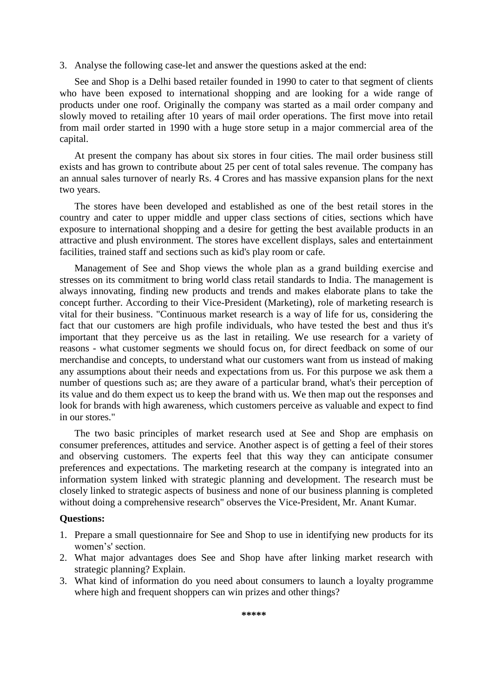3. Analyse the following case-let and answer the questions asked at the end:

See and Shop is a Delhi based retailer founded in 1990 to cater to that segment of clients who have been exposed to international shopping and are looking for a wide range of products under one roof. Originally the company was started as a mail order company and slowly moved to retailing after 10 years of mail order operations. The first move into retail from mail order started in 1990 with a huge store setup in a major commercial area of the capital.

At present the company has about six stores in four cities. The mail order business still exists and has grown to contribute about 25 per cent of total sales revenue. The company has an annual sales turnover of nearly Rs. 4 Crores and has massive expansion plans for the next two years.

The stores have been developed and established as one of the best retail stores in the country and cater to upper middle and upper class sections of cities, sections which have exposure to international shopping and a desire for getting the best available products in an attractive and plush environment. The stores have excellent displays, sales and entertainment facilities, trained staff and sections such as kid's play room or cafe.

Management of See and Shop views the whole plan as a grand building exercise and stresses on its commitment to bring world class retail standards to India. The management is always innovating, finding new products and trends and makes elaborate plans to take the concept further. According to their Vice-President (Marketing), role of marketing research is vital for their business. "Continuous market research is a way of life for us, considering the fact that our customers are high profile individuals, who have tested the best and thus it's important that they perceive us as the last in retailing. We use research for a variety of reasons - what customer segments we should focus on, for direct feedback on some of our merchandise and concepts, to understand what our customers want from us instead of making any assumptions about their needs and expectations from us. For this purpose we ask them a number of questions such as; are they aware of a particular brand, what's their perception of its value and do them expect us to keep the brand with us. We then map out the responses and look for brands with high awareness, which customers perceive as valuable and expect to find in our stores."

The two basic principles of market research used at See and Shop are emphasis on consumer preferences, attitudes and service. Another aspect is of getting a feel of their stores and observing customers. The experts feel that this way they can anticipate consumer preferences and expectations. The marketing research at the company is integrated into an information system linked with strategic planning and development. The research must be closely linked to strategic aspects of business and none of our business planning is completed without doing a comprehensive research" observes the Vice-President, Mr. Anant Kumar.

#### **Questions:**

- 1. Prepare a small questionnaire for See and Shop to use in identifying new products for its women's' section.
- 2. What major advantages does See and Shop have after linking market research with strategic planning? Explain.
- 3. What kind of information do you need about consumers to launch a loyalty programme where high and frequent shoppers can win prizes and other things?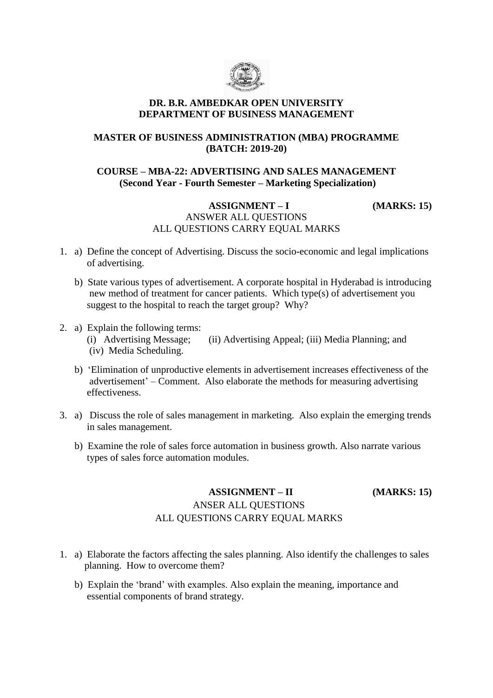

# **MASTER OF BUSINESS ADMINISTRATION (MBA) PROGRAMME (BATCH: 2019-20)**

# **COURSE ± MBA-22: ADVERTISING AND SALES MANAGEMENT (Second Year - Fourth Semester ± Marketing Specialization)**

# **ASSIGNMENT ± I (MARKS: 15)** ANSWER ALL QUESTIONS ALL QUESTIONS CARRY EQUAL MARKS

- 1. a) Define the concept of Advertising. Discuss the socio-economic and legal implications of advertising.
	- b) State various types of advertisement. A corporate hospital in Hyderabad is introducing new method of treatment for cancer patients. Which type(s) of advertisement you suggest to the hospital to reach the target group? Why?
- 2. a) Explain the following terms: (i) Advertising Message; (ii) Advertising Appeal; (iii) Media Planning; and (iv) Media Scheduling.
	- b) 'Elimination of unproductive elements in advertisement increases effectiveness of the advertisement'  $-$  Comment. Also elaborate the methods for measuring advertising effectiveness.
- 3. a) Discuss the role of sales management in marketing. Also explain the emerging trends in sales management.
	- b) Examine the role of sales force automation in business growth. Also narrate various types of sales force automation modules.

- 1. a) Elaborate the factors affecting the sales planning. Also identify the challenges to sales planning. How to overcome them?
	- b) Explain the 'brand' with examples. Also explain the meaning, importance and essential components of brand strategy.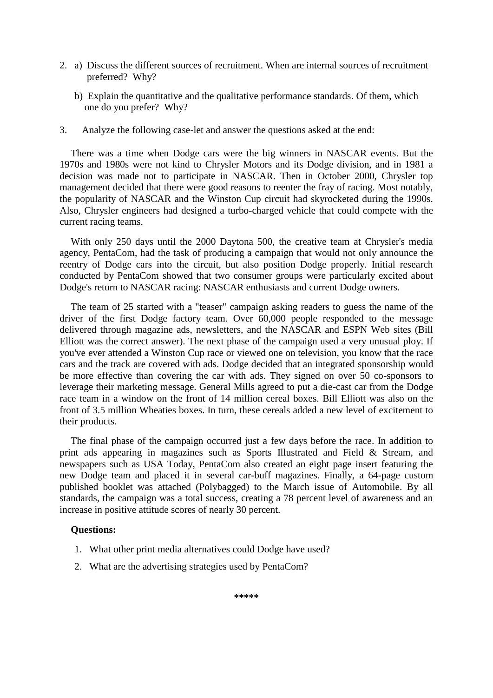- 2. a) Discuss the different sources of recruitment. When are internal sources of recruitment preferred? Why?
	- b) Explain the quantitative and the qualitative performance standards. Of them, which one do you prefer? Why?
- 3. Analyze the following case-let and answer the questions asked at the end:

There was a time when Dodge cars were the big winners in NASCAR events. But the 1970s and 1980s were not kind to Chrysler Motors and its Dodge division, and in 1981 a decision was made not to participate in NASCAR. Then in October 2000, Chrysler top management decided that there were good reasons to reenter the fray of racing. Most notably, the popularity of NASCAR and the Winston Cup circuit had skyrocketed during the 1990s. Also, Chrysler engineers had designed a turbo-charged vehicle that could compete with the current racing teams.

With only 250 days until the 2000 Daytona 500, the creative team at Chrysler's media agency, PentaCom, had the task of producing a campaign that would not only announce the reentry of Dodge cars into the circuit, but also position Dodge properly. Initial research conducted by PentaCom showed that two consumer groups were particularly excited about Dodge's return to NASCAR racing: NASCAR enthusiasts and current Dodge owners.

The team of 25 started with a "teaser" campaign asking readers to guess the name of the driver of the first Dodge factory team. Over 60,000 people responded to the message delivered through magazine ads, newsletters, and the NASCAR and ESPN Web sites (Bill Elliott was the correct answer). The next phase of the campaign used a very unusual ploy. If you've ever attended a Winston Cup race or viewed one on television, you know that the race cars and the track are covered with ads. Dodge decided that an integrated sponsorship would be more effective than covering the car with ads. They signed on over 50 co-sponsors to leverage their marketing message. General Mills agreed to put a die-cast car from the Dodge race team in a window on the front of 14 million cereal boxes. Bill Elliott was also on the front of 3.5 million Wheaties boxes. In turn, these cereals added a new level of excitement to their products.

The final phase of the campaign occurred just a few days before the race. In addition to print ads appearing in magazines such as Sports Illustrated and Field & Stream, and newspapers such as USA Today, PentaCom also created an eight page insert featuring the new Dodge team and placed it in several car-buff magazines. Finally, a 64-page custom published booklet was attached (Polybagged) to the March issue of Automobile. By all standards, the campaign was a total success, creating a 78 percent level of awareness and an increase in positive attitude scores of nearly 30 percent.

#### **Questions:**

- 1. What other print media alternatives could Dodge have used?
- 2. What are the advertising strategies used by PentaCom?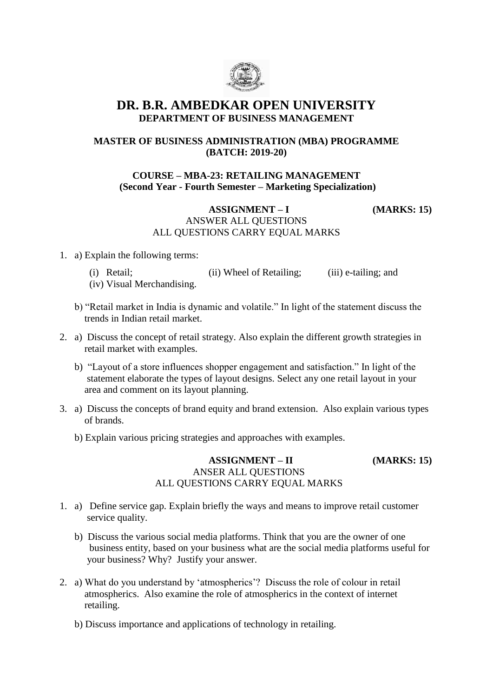

# **MASTER OF BUSINESS ADMINISTRATION (MBA) PROGRAMME (BATCH: 2019-20)**

# **COURSE ± MBA-23: RETAILING MANAGEMENT (Second Year - Fourth Semester ± Marketing Specialization)**

# **ASSIGNMENT ± I (MARKS: 15)** ANSWER ALL QUESTIONS ALL QUESTIONS CARRY EQUAL MARKS

- 1. a) Explain the following terms:
	- (i) Retail; (ii) Wheel of Retailing; (iii) e-tailing; and (iv) Visual Merchandising.
	- b) "Retail market in India is dynamic and volatile." In light of the statement discuss the trends in Indian retail market.
- 2. a) Discuss the concept of retail strategy. Also explain the different growth strategies in retail market with examples.
	- b) "Layout of a store influences shopper engagement and satisfaction." In light of the statement elaborate the types of layout designs. Select any one retail layout in your area and comment on its layout planning.
- 3. a) Discuss the concepts of brand equity and brand extension. Also explain various types of brands.
	- b) Explain various pricing strategies and approaches with examples.

- 
- 1. a) Define service gap. Explain briefly the ways and means to improve retail customer service quality.
	- b) Discuss the various social media platforms. Think that you are the owner of one business entity, based on your business what are the social media platforms useful for your business? Why? Justify your answer.
- 2. a) What do you understand by 'atmospherics'? Discuss the role of colour in retail atmospherics. Also examine the role of atmospherics in the context of internet retailing.
	- b) Discuss importance and applications of technology in retailing.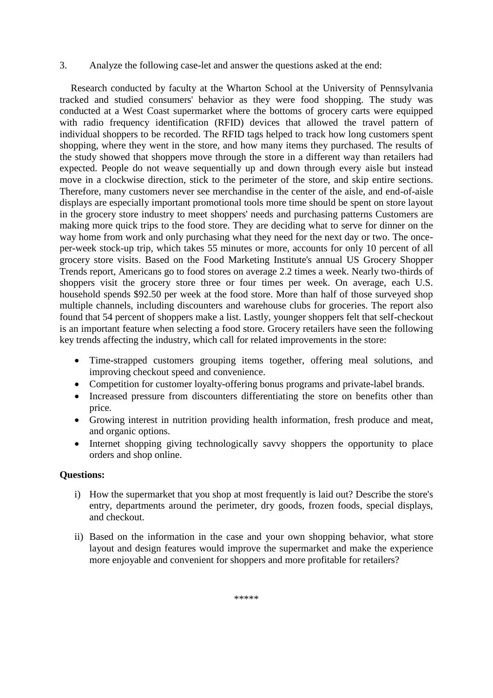#### 3. Analyze the following case-let and answer the questions asked at the end:

Research conducted by faculty at the Wharton School at the University of Pennsylvania tracked and studied consumers' behavior as they were food shopping. The study was conducted at a West Coast supermarket where the bottoms of grocery carts were equipped with radio frequency identification (RFID) devices that allowed the travel pattern of individual shoppers to be recorded. The RFID tags helped to track how long customers spent shopping, where they went in the store, and how many items they purchased. The results of the study showed that shoppers move through the store in a different way than retailers had expected. People do not weave sequentially up and down through every aisle but instead move in a clockwise direction, stick to the perimeter of the store, and skip entire sections. Therefore, many customers never see merchandise in the center of the aisle, and end-of-aisle displays are especially important promotional tools more time should be spent on store layout in the grocery store industry to meet shoppers' needs and purchasing patterns Customers are making more quick trips to the food store. They are deciding what to serve for dinner on the way home from work and only purchasing what they need for the next day or two. The onceper-week stock-up trip, which takes 55 minutes or more, accounts for only 10 percent of all grocery store visits. Based on the Food Marketing Institute's annual US Grocery Shopper Trends report, Americans go to food stores on average 2.2 times a week. Nearly two-thirds of shoppers visit the grocery store three or four times per week. On average, each U.S. household spends \$92.50 per week at the food store. More than half of those surveyed shop multiple channels, including discounters and warehouse clubs for groceries. The report also found that 54 percent of shoppers make a list. Lastly, younger shoppers felt that self-checkout is an important feature when selecting a food store. Grocery retailers have seen the following key trends affecting the industry, which call for related improvements in the store:

- Time-strapped customers grouping items together, offering meal solutions, and improving checkout speed and convenience.
- Competition for customer loyalty-offering bonus programs and private-label brands.
- Increased pressure from discounters differentiating the store on benefits other than price.
- Growing interest in nutrition providing health information, fresh produce and meat, and organic options.
- Internet shopping giving technologically savvy shoppers the opportunity to place orders and shop online.

## **Questions:**

- i) How the supermarket that you shop at most frequently is laid out? Describe the store's entry, departments around the perimeter, dry goods, frozen foods, special displays, and checkout.
- ii) Based on the information in the case and your own shopping behavior, what store layout and design features would improve the supermarket and make the experience more enjoyable and convenient for shoppers and more profitable for retailers?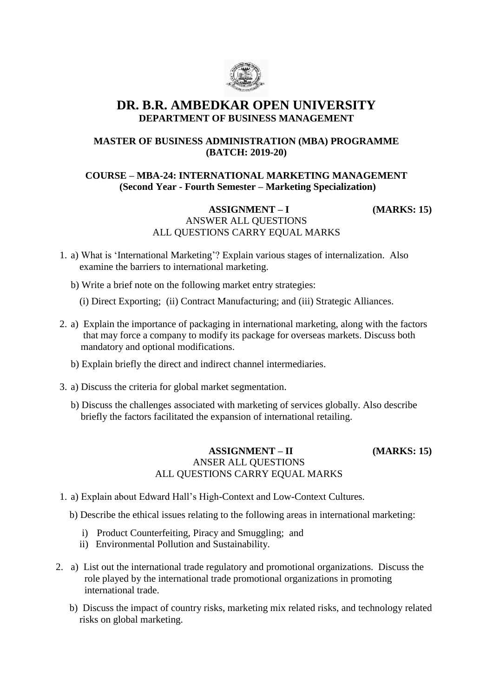

# **MASTER OF BUSINESS ADMINISTRATION (MBA) PROGRAMME (BATCH: 2019-20)**

# **COURSE ± MBA-24: INTERNATIONAL MARKETING MANAGEMENT (Second Year - Fourth Semester ± Marketing Specialization)**

# **ASSIGNMENT ± I (MARKS: 15)** ANSWER ALL QUESTIONS ALL QUESTIONS CARRY EQUAL MARKS

- 1. a) What is 'International Marketing'? Explain various stages of internalization. Also examine the barriers to international marketing.
	- b) Write a brief note on the following market entry strategies:
		- (i) Direct Exporting; (ii) Contract Manufacturing; and (iii) Strategic Alliances.
- 2. a) Explain the importance of packaging in international marketing, along with the factors that may force a company to modify its package for overseas markets. Discuss both mandatory and optional modifications.
	- b) Explain briefly the direct and indirect channel intermediaries.
- 3. a) Discuss the criteria for global market segmentation.
	- b) Discuss the challenges associated with marketing of services globally. Also describe briefly the factors facilitated the expansion of international retailing.

- 1. a) Explain about Edward Hall's High-Context and Low-Context Cultures.
	- b) Describe the ethical issues relating to the following areas in international marketing:
		- i) Product Counterfeiting, Piracy and Smuggling; and
		- ii) Environmental Pollution and Sustainability.
- 2. a) List out the international trade regulatory and promotional organizations. Discuss the role played by the international trade promotional organizations in promoting international trade.
	- b) Discuss the impact of country risks, marketing mix related risks, and technology related risks on global marketing.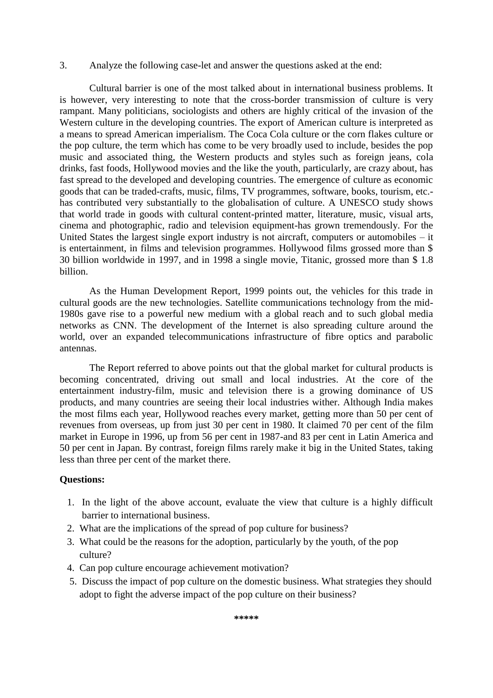#### 3. Analyze the following case-let and answer the questions asked at the end:

Cultural barrier is one of the most talked about in international business problems. It is however, very interesting to note that the cross-border transmission of culture is very rampant. Many politicians, sociologists and others are highly critical of the invasion of the Western culture in the developing countries. The export of American culture is interpreted as a means to spread American imperialism. The Coca Cola culture or the corn flakes culture or the pop culture, the term which has come to be very broadly used to include, besides the pop music and associated thing, the Western products and styles such as foreign jeans, cola drinks, fast foods, Hollywood movies and the like the youth, particularly, are crazy about, has fast spread to the developed and developing countries. The emergence of culture as economic goods that can be traded-crafts, music, films, TV programmes, software, books, tourism, etc. has contributed very substantially to the globalisation of culture. A UNESCO study shows that world trade in goods with cultural content-printed matter, literature, music, visual arts, cinema and photographic, radio and television equipment-has grown tremendously. For the United States the largest single export industry is not aircraft, computers or automobiles  $-\text{it}$ is entertainment, in films and television programmes. Hollywood films grossed more than \$ 30 billion worldwide in 1997, and in 1998 a single movie, Titanic, grossed more than \$ 1.8 billion.

As the Human Development Report, 1999 points out, the vehicles for this trade in cultural goods are the new technologies. Satellite communications technology from the mid-1980s gave rise to a powerful new medium with a global reach and to such global media networks as CNN. The development of the Internet is also spreading culture around the world, over an expanded telecommunications infrastructure of fibre optics and parabolic antennas.

The Report referred to above points out that the global market for cultural products is becoming concentrated, driving out small and local industries. At the core of the entertainment industry-film, music and television there is a growing dominance of US products, and many countries are seeing their local industries wither. Although India makes the most films each year, Hollywood reaches every market, getting more than 50 per cent of revenues from overseas, up from just 30 per cent in 1980. It claimed 70 per cent of the film market in Europe in 1996, up from 56 per cent in 1987-and 83 per cent in Latin America and 50 per cent in Japan. By contrast, foreign films rarely make it big in the United States, taking less than three per cent of the market there.

#### **Questions:**

- 1. In the light of the above account, evaluate the view that culture is a highly difficult barrier to international business.
- 2. What are the implications of the spread of pop culture for business?
- 3. What could be the reasons for the adoption, particularly by the youth, of the pop culture?
- 4. Can pop culture encourage achievement motivation?
- 5. Discuss the impact of pop culture on the domestic business. What strategies they should adopt to fight the adverse impact of the pop culture on their business?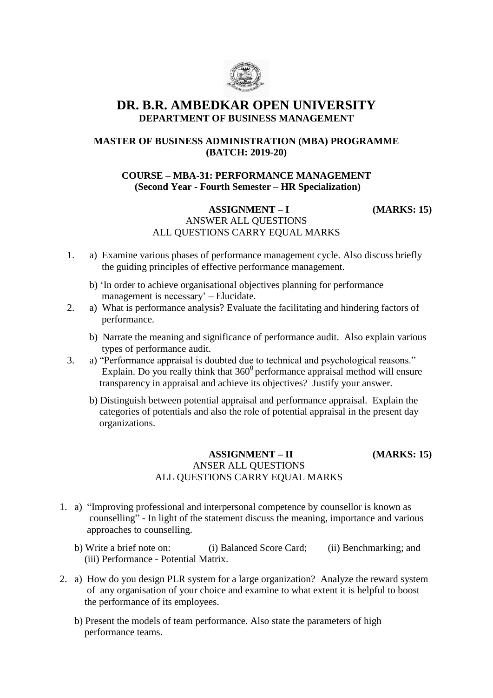

# **MASTER OF BUSINESS ADMINISTRATION (MBA) PROGRAMME (BATCH: 2019-20)**

# **COURSE ± MBA-31: PERFORMANCE MANAGEMENT (Second Year - Fourth Semester ± HR Specialization)**

# **ASSIGNMENT ± I (MARKS: 15)** ANSWER ALL QUESTIONS ALL QUESTIONS CARRY EQUAL MARKS

- 1. a) Examine various phases of performance management cycle. Also discuss briefly the guiding principles of effective performance management.
	- b) 'In order to achieve organisational objectives planning for performance management is necessary' $-$  Elucidate.
- 2. a) What is performance analysis? Evaluate the facilitating and hindering factors of performance.
	- b) Narrate the meaning and significance of performance audit. Also explain various types of performance audit.
- 3. a) "Performance appraisal is doubted due to technical and psychological reasons." Explain. Do you really think that  $360^{\circ}$  performance appraisal method will ensure transparency in appraisal and achieve its objectives? Justify your answer.
	- b) Distinguish between potential appraisal and performance appraisal. Explain the categories of potentials and also the role of potential appraisal in the present day organizations.

- 1. a) "Improving professional and interpersonal competence by counsellor is known as counselling´- In light of the statement discuss the meaning, importance and various approaches to counselling.
	- b) Write a brief note on: (i) Balanced Score Card; (ii) Benchmarking; and (iii) Performance - Potential Matrix.
- 2. a) How do you design PLR system for a large organization? Analyze the reward system of any organisation of your choice and examine to what extent it is helpful to boost the performance of its employees.
	- b) Present the models of team performance. Also state the parameters of high performance teams.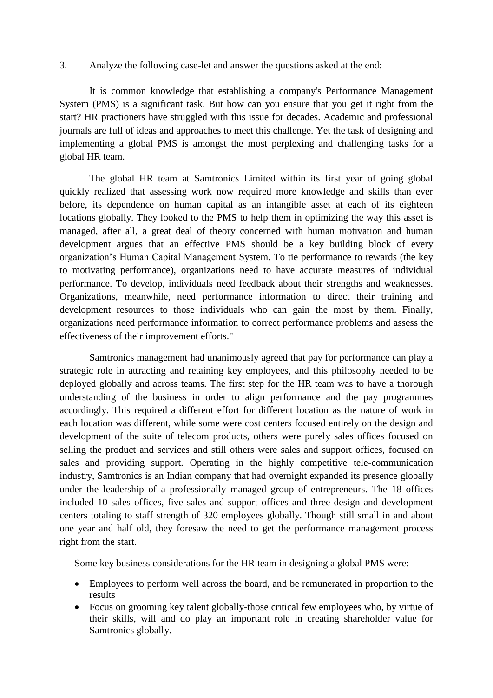3. Analyze the following case-let and answer the questions asked at the end:

It is common knowledge that establishing a company's Performance Management System (PMS) is a significant task. But how can you ensure that you get it right from the start? HR practioners have struggled with this issue for decades. Academic and professional journals are full of ideas and approaches to meet this challenge. Yet the task of designing and implementing a global PMS is amongst the most perplexing and challenging tasks for a global HR team.

The global HR team at Samtronics Limited within its first year of going global quickly realized that assessing work now required more knowledge and skills than ever before, its dependence on human capital as an intangible asset at each of its eighteen locations globally. They looked to the PMS to help them in optimizing the way this asset is managed, after all, a great deal of theory concerned with human motivation and human development argues that an effective PMS should be a key building block of every organization's Human Capital Management System. To tie performance to rewards (the key to motivating performance), organizations need to have accurate measures of individual performance. To develop, individuals need feedback about their strengths and weaknesses. Organizations, meanwhile, need performance information to direct their training and development resources to those individuals who can gain the most by them. Finally, organizations need performance information to correct performance problems and assess the effectiveness of their improvement efforts."

Samtronics management had unanimously agreed that pay for performance can play a strategic role in attracting and retaining key employees, and this philosophy needed to be deployed globally and across teams. The first step for the HR team was to have a thorough understanding of the business in order to align performance and the pay programmes accordingly. This required a different effort for different location as the nature of work in each location was different, while some were cost centers focused entirely on the design and development of the suite of telecom products, others were purely sales offices focused on selling the product and services and still others were sales and support offices, focused on sales and providing support. Operating in the highly competitive tele-communication industry, Samtronics is an Indian company that had overnight expanded its presence globally under the leadership of a professionally managed group of entrepreneurs. The 18 offices included 10 sales offices, five sales and support offices and three design and development centers totaling to staff strength of 320 employees globally. Though still small in and about one year and half old, they foresaw the need to get the performance management process right from the start.

Some key business considerations for the HR team in designing a global PMS were:

- Employees to perform well across the board, and be remunerated in proportion to the results
- Focus on grooming key talent globally-those critical few employees who, by virtue of their skills, will and do play an important role in creating shareholder value for Samtronics globally.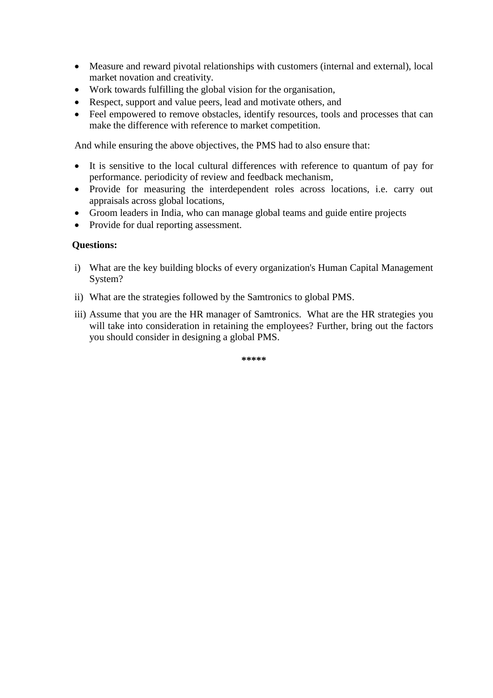- Measure and reward pivotal relationships with customers (internal and external), local market novation and creativity.
- Work towards fulfilling the global vision for the organisation,
- Respect, support and value peers, lead and motivate others, and
- Feel empowered to remove obstacles, identify resources, tools and processes that can make the difference with reference to market competition.

And while ensuring the above objectives, the PMS had to also ensure that:

- It is sensitive to the local cultural differences with reference to quantum of pay for performance. periodicity of review and feedback mechanism,
- Provide for measuring the interdependent roles across locations, i.e. carry out appraisals across global locations,
- Groom leaders in India, who can manage global teams and guide entire projects
- Provide for dual reporting assessment.

# **Questions:**

- i) What are the key building blocks of every organization's Human Capital Management System?
- ii) What are the strategies followed by the Samtronics to global PMS.
- iii) Assume that you are the HR manager of Samtronics. What are the HR strategies you will take into consideration in retaining the employees? Further, bring out the factors you should consider in designing a global PMS.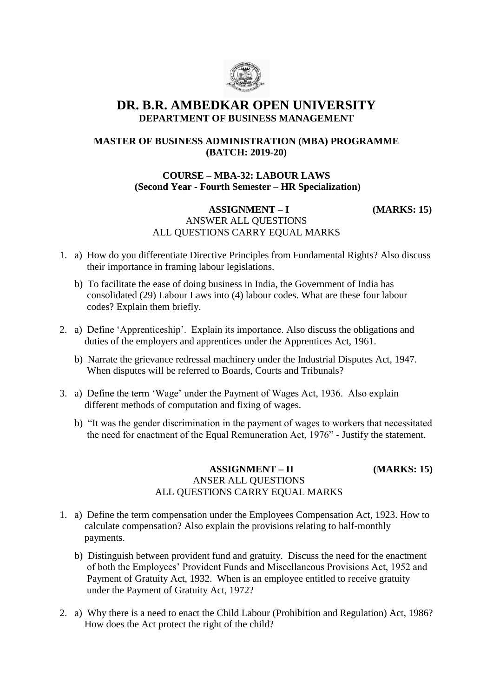

# **MASTER OF BUSINESS ADMINISTRATION (MBA) PROGRAMME (BATCH: 2019-20)**

# **COURSE ± MBA-32: LABOUR LAWS (Second Year - Fourth Semester ± HR Specialization)**

# **ASSIGNMENT ± I (MARKS: 15)** ANSWER ALL QUESTIONS ALL QUESTIONS CARRY EQUAL MARKS

- 1. a) How do you differentiate Directive Principles from Fundamental Rights? Also discuss their importance in framing labour legislations.
	- b) To facilitate the ease of doing business in India, the Government of India has consolidated (29) Labour Laws into (4) labour codes. What are these four labour codes? Explain them briefly.
- 2. a) Define 'Apprenticeship'. Explain its importance. Also discuss the obligations and duties of the employers and apprentices under the Apprentices Act, 1961.
	- b) Narrate the grievance redressal machinery under the Industrial Disputes Act, 1947. When disputes will be referred to Boards, Courts and Tribunals?
- 3. a) Define the term 'Wage' under the Payment of Wages Act, 1936. Also explain different methods of computation and fixing of wages.
	- b) "It was the gender discrimination in the payment of wages to workers that necessitated the need for enactment of the Equal Remuneration Act, 1976" - Justify the statement.

- 1. a) Define the term compensation under the Employees Compensation Act, 1923. How to calculate compensation? Also explain the provisions relating to half-monthly payments.
	- b) Distinguish between provident fund and gratuity. Discuss the need for the enactment of both the Employees' Provident Funds and Miscellaneous Provisions Act, 1952 and Payment of Gratuity Act, 1932. When is an employee entitled to receive gratuity under the Payment of Gratuity Act, 1972?
- 2. a) Why there is a need to enact the Child Labour (Prohibition and Regulation) Act, 1986? How does the Act protect the right of the child?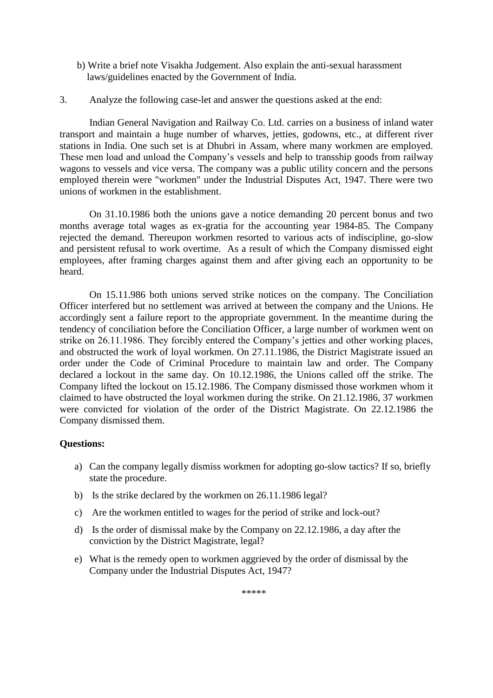- b) Write a brief note Visakha Judgement. Also explain the anti-sexual harassment laws/guidelines enacted by the Government of India.
- 3. Analyze the following case-let and answer the questions asked at the end:

Indian General Navigation and Railway Co. Ltd. carries on a business of inland water transport and maintain a huge number of wharves, jetties, godowns, etc., at different river stations in India. One such set is at Dhubri in Assam, where many workmen are employed. These men load and unload the Company's vessels and help to transship goods from railway wagons to vessels and vice versa. The company was a public utility concern and the persons employed therein were "workmen" under the Industrial Disputes Act, 1947. There were two unions of workmen in the establishment.

On 31.10.1986 both the unions gave a notice demanding 20 percent bonus and two months average total wages as ex-gratia for the accounting year 1984-85. The Company rejected the demand. Thereupon workmen resorted to various acts of indiscipline, go-slow and persistent refusal to work overtime. As a result of which the Company dismissed eight employees, after framing charges against them and after giving each an opportunity to be heard.

On 15.11.986 both unions served strike notices on the company. The Conciliation Officer interfered but no settlement was arrived at between the company and the Unions. He accordingly sent a failure report to the appropriate government. In the meantime during the tendency of conciliation before the Conciliation Officer, a large number of workmen went on strike on 26.11.1986. They forcibly entered the Company's jetties and other working places, and obstructed the work of loyal workmen. On 27.11.1986, the District Magistrate issued an order under the Code of Criminal Procedure to maintain law and order. The Company declared a lockout in the same day. On 10.12.1986, the Unions called off the strike. The Company lifted the lockout on 15.12.1986. The Company dismissed those workmen whom it claimed to have obstructed the loyal workmen during the strike. On 21.12.1986, 37 workmen were convicted for violation of the order of the District Magistrate. On 22.12.1986 the Company dismissed them.

## **Questions:**

- a) Can the company legally dismiss workmen for adopting go-slow tactics? If so, briefly state the procedure.
- b) Is the strike declared by the workmen on 26.11.1986 legal?
- c) Are the workmen entitled to wages for the period of strike and lock-out?
- d) Is the order of dismissal make by the Company on 22.12.1986, a day after the conviction by the District Magistrate, legal?
- e) What is the remedy open to workmen aggrieved by the order of dismissal by the Company under the Industrial Disputes Act, 1947?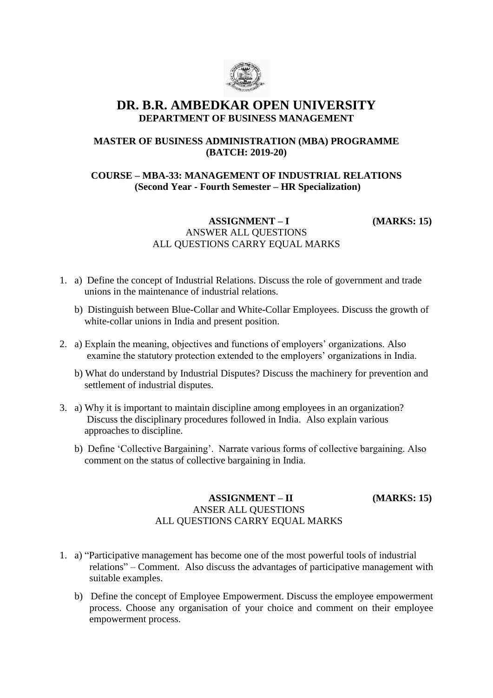

# **MASTER OF BUSINESS ADMINISTRATION (MBA) PROGRAMME (BATCH: 2019-20)**

# **COURSE ± MBA-33: MANAGEMENT OF INDUSTRIAL RELATIONS (Second Year - Fourth Semester ± HR Specialization)**

# **ASSIGNMENT ± I (MARKS: 15)** ANSWER ALL QUESTIONS ALL QUESTIONS CARRY EQUAL MARKS

- 1. a) Define the concept of Industrial Relations. Discuss the role of government and trade unions in the maintenance of industrial relations.
	- b) Distinguish between Blue-Collar and White-Collar Employees. Discuss the growth of white-collar unions in India and present position.
- 2. a) Explain the meaning, objectives and functions of employers' organizations. Also examine the statutory protection extended to the employers' organizations in India.
	- b) What do understand by Industrial Disputes? Discuss the machinery for prevention and settlement of industrial disputes.
- 3. a) Why it is important to maintain discipline among employees in an organization? Discuss the disciplinary procedures followed in India. Also explain various approaches to discipline.
	- b) Define 'Collective Bargaining'. Narrate various forms of collective bargaining. Also comment on the status of collective bargaining in India.

- 1. a) "Participative management has become one of the most powerful tools of industrial relations" – Comment. Also discuss the advantages of participative management with suitable examples.
	- b) Define the concept of Employee Empowerment. Discuss the employee empowerment process. Choose any organisation of your choice and comment on their employee empowerment process.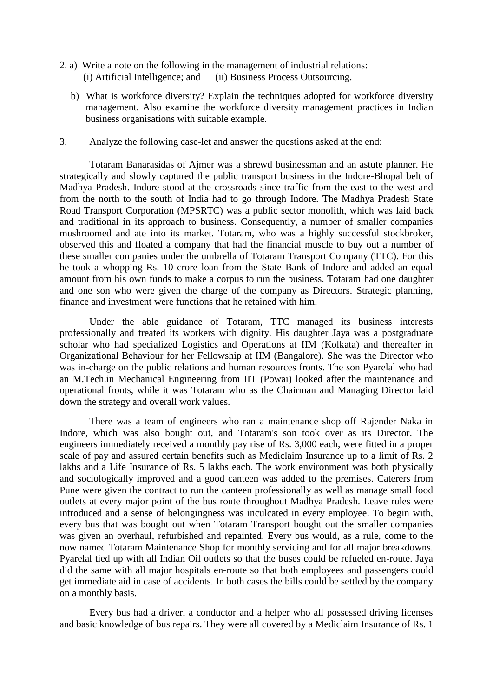- 2. a) Write a note on the following in the management of industrial relations: (i) Artificial Intelligence; and (ii) Business Process Outsourcing.
	- b) What is workforce diversity? Explain the techniques adopted for workforce diversity management. Also examine the workforce diversity management practices in Indian business organisations with suitable example.
- 3. Analyze the following case-let and answer the questions asked at the end:

Totaram Banarasidas of Ajmer was a shrewd businessman and an astute planner. He strategically and slowly captured the public transport business in the Indore-Bhopal belt of Madhya Pradesh. Indore stood at the crossroads since traffic from the east to the west and from the north to the south of India had to go through Indore. The Madhya Pradesh State Road Transport Corporation (MPSRTC) was a public sector monolith, which was laid back and traditional in its approach to business. Consequently, a number of smaller companies mushroomed and ate into its market. Totaram, who was a highly successful stockbroker, observed this and floated a company that had the financial muscle to buy out a number of these smaller companies under the umbrella of Totaram Transport Company (TTC). For this he took a whopping Rs. 10 crore loan from the State Bank of Indore and added an equal amount from his own funds to make a corpus to run the business. Totaram had one daughter and one son who were given the charge of the company as Directors. Strategic planning, finance and investment were functions that he retained with him.

Under the able guidance of Totaram, TTC managed its business interests professionally and treated its workers with dignity. His daughter Jaya was a postgraduate scholar who had specialized Logistics and Operations at IIM (Kolkata) and thereafter in Organizational Behaviour for her Fellowship at IIM (Bangalore). She was the Director who was in-charge on the public relations and human resources fronts. The son Pyarelal who had an M.Tech.in Mechanical Engineering from IIT (Powai) looked after the maintenance and operational fronts, while it was Totaram who as the Chairman and Managing Director laid down the strategy and overall work values.

There was a team of engineers who ran a maintenance shop off Rajender Naka in Indore, which was also bought out, and Totaram's son took over as its Director. The engineers immediately received a monthly pay rise of Rs. 3,000 each, were fitted in a proper scale of pay and assured certain benefits such as Mediclaim Insurance up to a limit of Rs. 2 lakhs and a Life Insurance of Rs. 5 lakhs each. The work environment was both physically and sociologically improved and a good canteen was added to the premises. Caterers from Pune were given the contract to run the canteen professionally as well as manage small food outlets at every major point of the bus route throughout Madhya Pradesh. Leave rules were introduced and a sense of belongingness was inculcated in every employee. To begin with, every bus that was bought out when Totaram Transport bought out the smaller companies was given an overhaul, refurbished and repainted. Every bus would, as a rule, come to the now named Totaram Maintenance Shop for monthly servicing and for all major breakdowns. Pyarelal tied up with all Indian Oil outlets so that the buses could be refueled en-route. Jaya did the same with all major hospitals en-route so that both employees and passengers could get immediate aid in case of accidents. In both cases the bills could be settled by the company on a monthly basis.

Every bus had a driver, a conductor and a helper who all possessed driving licenses and basic knowledge of bus repairs. They were all covered by a Mediclaim Insurance of Rs. 1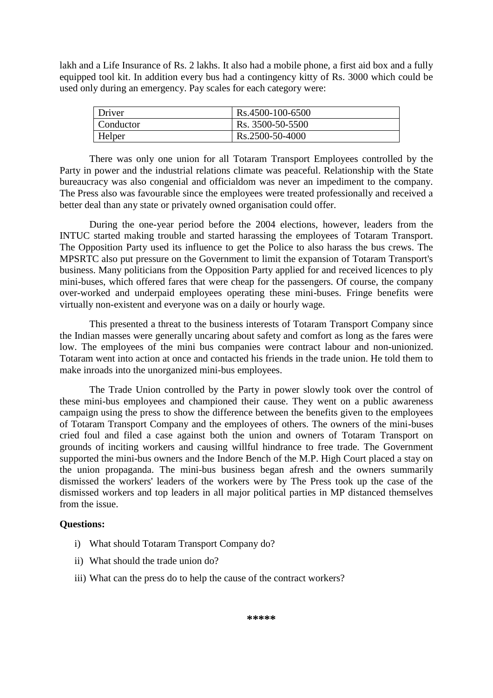lakh and a Life Insurance of Rs. 2 lakhs. It also had a mobile phone, a first aid box and a fully equipped tool kit. In addition every bus had a contingency kitty of Rs. 3000 which could be used only during an emergency. Pay scales for each category were:

| <b>Driver</b> | Rs.4500-100-6500 |
|---------------|------------------|
| Conductor     | Rs. 3500-50-5500 |
| Helper        | Rs.2500-50-4000  |

There was only one union for all Totaram Transport Employees controlled by the Party in power and the industrial relations climate was peaceful. Relationship with the State bureaucracy was also congenial and officialdom was never an impediment to the company. The Press also was favourable since the employees were treated professionally and received a better deal than any state or privately owned organisation could offer.

During the one-year period before the 2004 elections, however, leaders from the INTUC started making trouble and started harassing the employees of Totaram Transport. The Opposition Party used its influence to get the Police to also harass the bus crews. The MPSRTC also put pressure on the Government to limit the expansion of Totaram Transport's business. Many politicians from the Opposition Party applied for and received licences to ply mini-buses, which offered fares that were cheap for the passengers. Of course, the company over-worked and underpaid employees operating these mini-buses. Fringe benefits were virtually non-existent and everyone was on a daily or hourly wage.

This presented a threat to the business interests of Totaram Transport Company since the Indian masses were generally uncaring about safety and comfort as long as the fares were low. The employees of the mini bus companies were contract labour and non-unionized. Totaram went into action at once and contacted his friends in the trade union. He told them to make inroads into the unorganized mini-bus employees.

The Trade Union controlled by the Party in power slowly took over the control of these mini-bus employees and championed their cause. They went on a public awareness campaign using the press to show the difference between the benefits given to the employees of Totaram Transport Company and the employees of others. The owners of the mini-buses cried foul and filed a case against both the union and owners of Totaram Transport on grounds of inciting workers and causing willful hindrance to free trade. The Government supported the mini-bus owners and the Indore Bench of the M.P. High Court placed a stay on the union propaganda. The mini-bus business began afresh and the owners summarily dismissed the workers' leaders of the workers were by The Press took up the case of the dismissed workers and top leaders in all major political parties in MP distanced themselves from the issue.

#### **Questions:**

- i) What should Totaram Transport Company do?
- ii) What should the trade union do?
- iii) What can the press do to help the cause of the contract workers?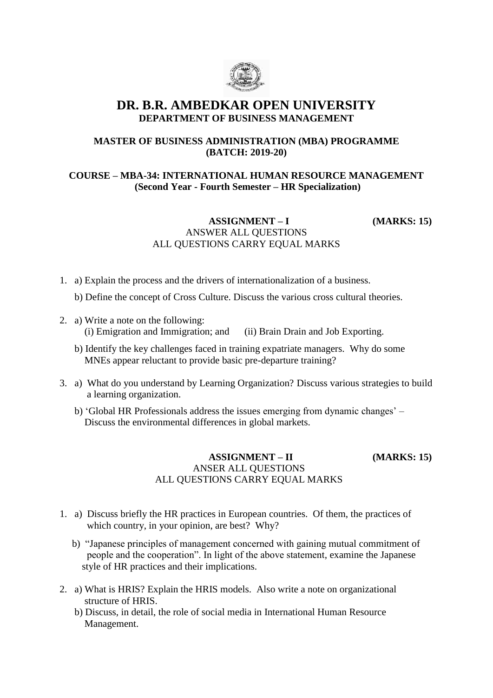

# **MASTER OF BUSINESS ADMINISTRATION (MBA) PROGRAMME (BATCH: 2019-20)**

# **COURSE ± MBA-34: INTERNATIONAL HUMAN RESOURCE MANAGEMENT (Second Year - Fourth Semester ± HR Specialization)**

# **ASSIGNMENT ± I (MARKS: 15)** ANSWER ALL QUESTIONS ALL QUESTIONS CARRY EQUAL MARKS

- 1. a) Explain the process and the drivers of internationalization of a business.
	- b) Define the concept of Cross Culture. Discuss the various cross cultural theories.
- 2. a) Write a note on the following: (i) Emigration and Immigration; and (ii) Brain Drain and Job Exporting.
	- b) Identify the key challenges faced in training expatriate managers. Why do some MNEs appear reluctant to provide basic pre-departure training?
- 3. a) What do you understand by Learning Organization? Discuss various strategies to build a learning organization.
	- b) 'Global HR Professionals address the issues emerging from dynamic changes'  $-$ Discuss the environmental differences in global markets.

- 1. a) Discuss briefly the HR practices in European countries. Of them, the practices of which country, in your opinion, are best? Why?
	- b) "Japanese principles of management concerned with gaining mutual commitment of people and the cooperation". In light of the above statement, examine the Japanese style of HR practices and their implications.
- 2. a) What is HRIS? Explain the HRIS models. Also write a note on organizational structure of HRIS.
	- b) Discuss, in detail, the role of social media in International Human Resource Management.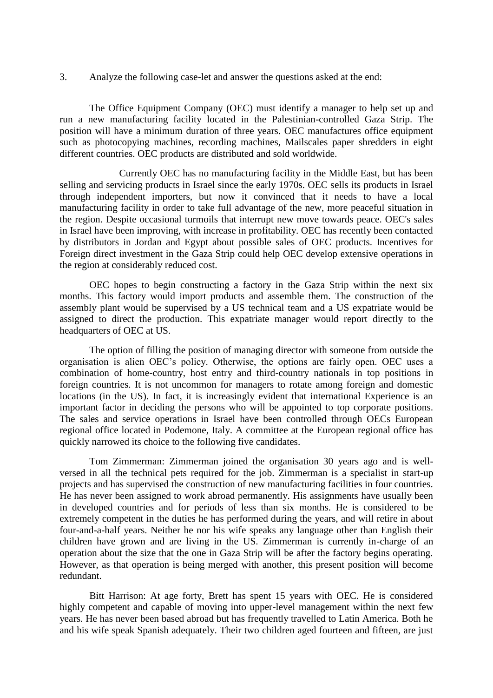3. Analyze the following case-let and answer the questions asked at the end:

The Office Equipment Company (OEC) must identify a manager to help set up and run a new manufacturing facility located in the Palestinian-controlled Gaza Strip. The position will have a minimum duration of three years. OEC manufactures office equipment such as photocopying machines, recording machines, Mailscales paper shredders in eight different countries. OEC products are distributed and sold worldwide.

Currently OEC has no manufacturing facility in the Middle East, but has been selling and servicing products in Israel since the early 1970s. OEC sells its products in Israel through independent importers, but now it convinced that it needs to have a local manufacturing facility in order to take full advantage of the new, more peaceful situation in the region. Despite occasional turmoils that interrupt new move towards peace. OEC's sales in Israel have been improving, with increase in profitability. OEC has recently been contacted by distributors in Jordan and Egypt about possible sales of OEC products. Incentives for Foreign direct investment in the Gaza Strip could help OEC develop extensive operations in the region at considerably reduced cost.

OEC hopes to begin constructing a factory in the Gaza Strip within the next six months. This factory would import products and assemble them. The construction of the assembly plant would be supervised by a US technical team and a US expatriate would be assigned to direct the production. This expatriate manager would report directly to the headquarters of OEC at US.

The option of filling the position of managing director with someone from outside the organisation is alien OEC's policy. Otherwise, the options are fairly open. OEC uses a combination of home-country, host entry and third-country nationals in top positions in foreign countries. It is not uncommon for managers to rotate among foreign and domestic locations (in the US). In fact, it is increasingly evident that international Experience is an important factor in deciding the persons who will be appointed to top corporate positions. The sales and service operations in Israel have been controlled through OECs European regional office located in Podemone, Italy. A committee at the European regional office has quickly narrowed its choice to the following five candidates.

Tom Zimmerman: Zimmerman joined the organisation 30 years ago and is wellversed in all the technical pets required for the job. Zimmerman is a specialist in start-up projects and has supervised the construction of new manufacturing facilities in four countries. He has never been assigned to work abroad permanently. His assignments have usually been in developed countries and for periods of less than six months. He is considered to be extremely competent in the duties he has performed during the years, and will retire in about four-and-a-half years. Neither he nor his wife speaks any language other than English their children have grown and are living in the US. Zimmerman is currently in-charge of an operation about the size that the one in Gaza Strip will be after the factory begins operating. However, as that operation is being merged with another, this present position will become redundant.

Bitt Harrison: At age forty, Brett has spent 15 years with OEC. He is considered highly competent and capable of moving into upper-level management within the next few years. He has never been based abroad but has frequently travelled to Latin America. Both he and his wife speak Spanish adequately. Their two children aged fourteen and fifteen, are just